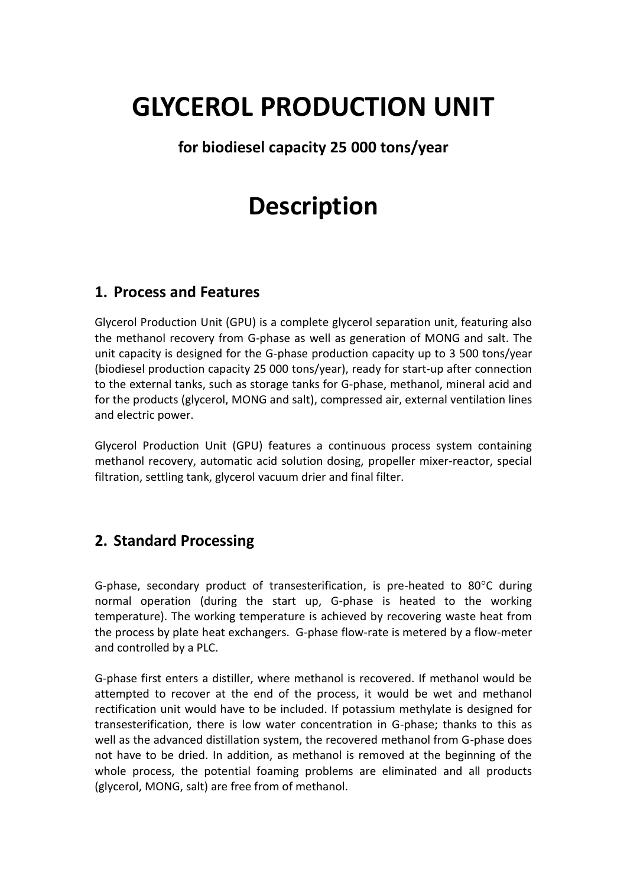# **GLYCEROL PRODUCTION UNIT**

### **for biodiesel capacity 25 000 tons/year**

## **Description**

#### **1. Process and Features**

Glycerol Production Unit (GPU) is a complete glycerol separation unit, featuring also the methanol recovery from G-phase as well as generation of MONG and salt. The unit capacity is designed for the G-phase production capacity up to 3 500 tons/year (biodiesel production capacity 25 000 tons/year), ready for start-up after connection to the external tanks, such as storage tanks for G-phase, methanol, mineral acid and for the products (glycerol, MONG and salt), compressed air, external ventilation lines and electric power.

Glycerol Production Unit (GPU) features a continuous process system containing methanol recovery, automatic acid solution dosing, propeller mixer-reactor, special filtration, settling tank, glycerol vacuum drier and final filter.

#### **2. Standard Processing**

G-phase, secondary product of transesterification, is pre-heated to 80 $^{\circ}$ C during normal operation (during the start up, G-phase is heated to the working temperature). The working temperature is achieved by recovering waste heat from the process by plate heat exchangers. G-phase flow-rate is metered by a flow-meter and controlled by a PLC.

G-phase first enters a distiller, where methanol is recovered. If methanol would be attempted to recover at the end of the process, it would be wet and methanol rectification unit would have to be included. If potassium methylate is designed for transesterification, there is low water concentration in G-phase; thanks to this as well as the advanced distillation system, the recovered methanol from G-phase does not have to be dried. In addition, as methanol is removed at the beginning of the whole process, the potential foaming problems are eliminated and all products (glycerol, MONG, salt) are free from of methanol.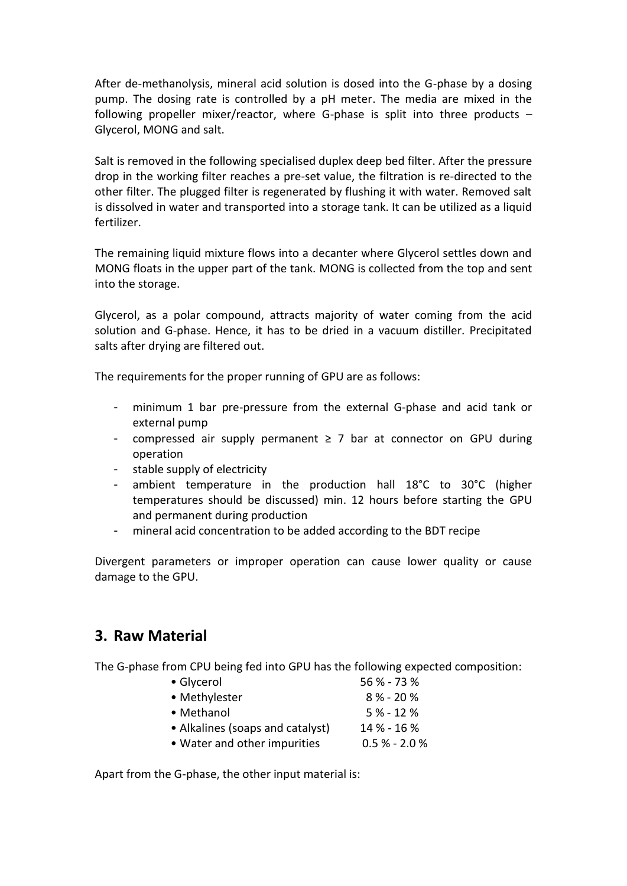After de-methanolysis, mineral acid solution is dosed into the G-phase by a dosing pump. The dosing rate is controlled by a pH meter. The media are mixed in the following propeller mixer/reactor, where G-phase is split into three products – Glycerol, MONG and salt.

Salt is removed in the following specialised duplex deep bed filter. After the pressure drop in the working filter reaches a pre-set value, the filtration is re-directed to the other filter. The plugged filter is regenerated by flushing it with water. Removed salt is dissolved in water and transported into a storage tank. It can be utilized as a liquid fertilizer.

The remaining liquid mixture flows into a decanter where Glycerol settles down and MONG floats in the upper part of the tank. MONG is collected from the top and sent into the storage.

Glycerol, as a polar compound, attracts majority of water coming from the acid solution and G-phase. Hence, it has to be dried in a vacuum distiller. Precipitated salts after drying are filtered out.

The requirements for the proper running of GPU are as follows:

- minimum 1 bar pre-pressure from the external G-phase and acid tank or external pump
- compressed air supply permanent ≥ 7 bar at connector on GPU during operation
- stable supply of electricity
- ambient temperature in the production hall 18°C to 30°C (higher temperatures should be discussed) min. 12 hours before starting the GPU and permanent during production
- mineral acid concentration to be added according to the BDT recipe

Divergent parameters or improper operation can cause lower quality or cause damage to the GPU.

#### **3. Raw Material**

The G-phase from CPU being fed into GPU has the following expected composition:

| • Glycerol                       | 56 % - 73 %     |
|----------------------------------|-----------------|
| • Methylester                    | $8\% - 20\%$    |
| • Methanol                       | $5% - 12%$      |
| • Alkalines (soaps and catalyst) | 14 % - 16 %     |
| • Water and other impurities     | $0.5\% - 2.0\%$ |
|                                  |                 |

Apart from the G-phase, the other input material is: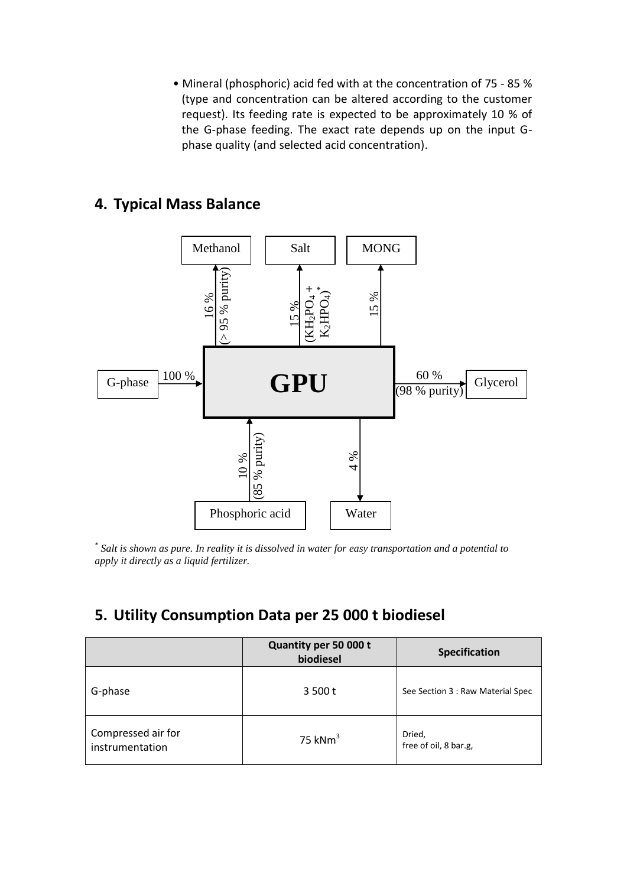• Mineral (phosphoric) acid fed with at the concentration of 75 - 85 % (type and concentration can be altered according to the customer request). Its feeding rate is expected to be approximately 10 % of the G-phase feeding. The exact rate depends up on the input Gphase quality (and selected acid concentration).

#### **4. Typical Mass Balance**



*\* Salt is shown as pure. In reality it is dissolved in water for easy transportation and a potential to apply it directly as a liquid fertilizer.*

#### **5. Utility Consumption Data per 25 000 t biodiesel**

|                                       | Quantity per 50 000 t<br>biodiesel | <b>Specification</b>              |
|---------------------------------------|------------------------------------|-----------------------------------|
| G-phase                               | 3,500t                             | See Section 3 : Raw Material Spec |
| Compressed air for<br>instrumentation | 75 kN $m3$                         | Dried,<br>free of oil, 8 bar.g,   |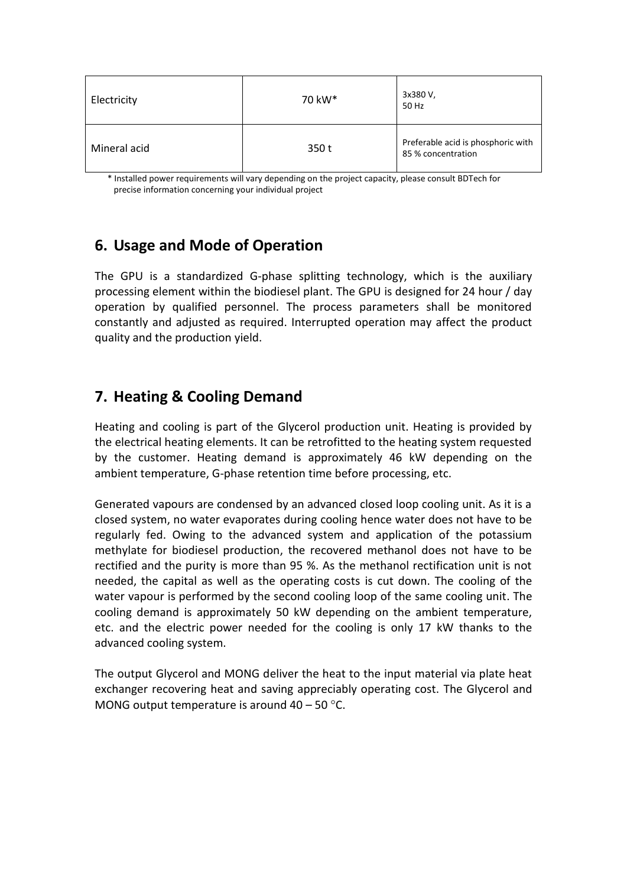| Electricity  | 70 kW* | 3x380 V,<br>50 Hz                                        |
|--------------|--------|----------------------------------------------------------|
| Mineral acid | 350 t  | Preferable acid is phosphoric with<br>85 % concentration |

\* Installed power requirements will vary depending on the project capacity, please consult BDTech for precise information concerning your individual project

#### **6. Usage and Mode of Operation**

The GPU is a standardized G-phase splitting technology, which is the auxiliary processing element within the biodiesel plant. The GPU is designed for 24 hour / day operation by qualified personnel. The process parameters shall be monitored constantly and adjusted as required. Interrupted operation may affect the product quality and the production yield.

#### **7. Heating & Cooling Demand**

Heating and cooling is part of the Glycerol production unit. Heating is provided by the electrical heating elements. It can be retrofitted to the heating system requested by the customer. Heating demand is approximately 46 kW depending on the ambient temperature, G-phase retention time before processing, etc.

Generated vapours are condensed by an advanced closed loop cooling unit. As it is a closed system, no water evaporates during cooling hence water does not have to be regularly fed. Owing to the advanced system and application of the potassium methylate for biodiesel production, the recovered methanol does not have to be rectified and the purity is more than 95 %. As the methanol rectification unit is not needed, the capital as well as the operating costs is cut down. The cooling of the water vapour is performed by the second cooling loop of the same cooling unit. The cooling demand is approximately 50 kW depending on the ambient temperature, etc. and the electric power needed for the cooling is only 17 kW thanks to the advanced cooling system.

The output Glycerol and MONG deliver the heat to the input material via plate heat exchanger recovering heat and saving appreciably operating cost. The Glycerol and MONG output temperature is around  $40 - 50$  °C.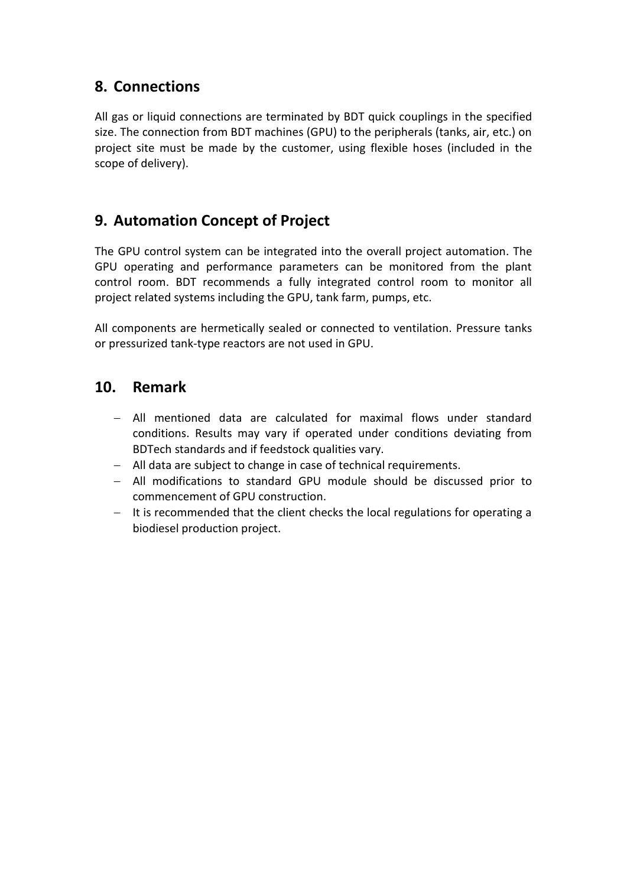#### **8. Connections**

All gas or liquid connections are terminated by BDT quick couplings in the specified size. The connection from BDT machines (GPU) to the peripherals (tanks, air, etc.) on project site must be made by the customer, using flexible hoses (included in the scope of delivery).

#### **9. Automation Concept of Project**

The GPU control system can be integrated into the overall project automation. The GPU operating and performance parameters can be monitored from the plant control room. BDT recommends a fully integrated control room to monitor all project related systems including the GPU, tank farm, pumps, etc.

All components are hermetically sealed or connected to ventilation. Pressure tanks or pressurized tank-type reactors are not used in GPU.

#### **10. Remark**

- All mentioned data are calculated for maximal flows under standard conditions. Results may vary if operated under conditions deviating from BDTech standards and if feedstock qualities vary.
- All data are subject to change in case of technical requirements.
- All modifications to standard GPU module should be discussed prior to commencement of GPU construction.
- $-$  It is recommended that the client checks the local regulations for operating a biodiesel production project.